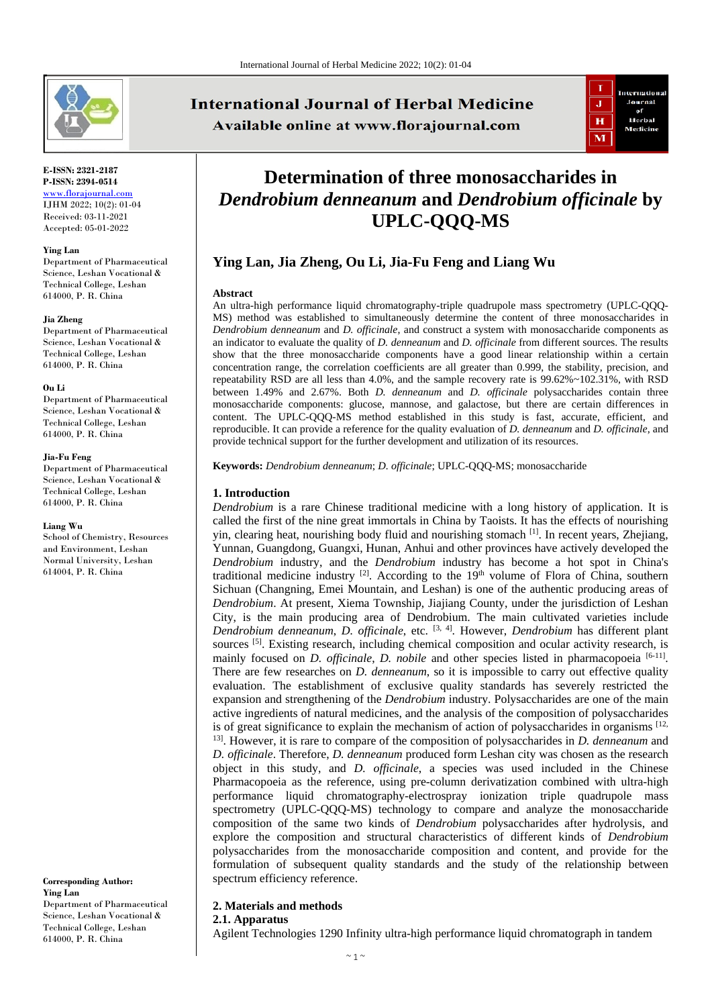

#### **E-ISSN: 2321-2187 P-ISSN: 2394-0514** [www.florajournal.com](file://Server/test/Flora%20Journal/Issue/8%20vol/2%20issue/www.florajournal.com) IJHM 2022; 10(2): 01-04 Received: 03-11-2021

Accepted: 05-01-2022

#### **Ying Lan**

Department of Pharmaceutical Science, Leshan Vocational & Technical College, Leshan 614000, P. R. China

#### **Jia Zheng**

Department of Pharmaceutical Science, Leshan Vocational & Technical College, Leshan 614000, P. R. China

#### **Ou Li**

Department of Pharmaceutical Science, Leshan Vocational & Technical College, Leshan 614000, P. R. China

#### **Jia-Fu Feng**

Department of Pharmaceutical Science, Leshan Vocational & Technical College, Leshan 614000, P. R. China

#### **Liang Wu**

School of Chemistry, Resources and Environment, Leshan Normal University, Leshan 614004, P. R. China

**Corresponding Author: Ying Lan** Department of Pharmaceutical Science, Leshan Vocational & Technical College, Leshan 614000, P. R. China

# **International Journal of Herbal Medicine** Available online at www.florajournal.com



# **Determination of three monosaccharides in**  *Dendrobium denneanum* **and** *Dendrobium officinale* **by UPLC-QQQ-MS**

# **Ying Lan, Jia Zheng, Ou Li, Jia-Fu Feng and Liang Wu**

#### **Abstract**

An ultra-high performance liquid chromatography-triple quadrupole mass spectrometry (UPLC-QQQ-MS) method was established to simultaneously determine the content of three monosaccharides in *Dendrobium denneanum* and *D. officinale*, and construct a system with monosaccharide components as an indicator to evaluate the quality of *D. denneanum* and *D. officinale* from different sources. The results show that the three monosaccharide components have a good linear relationship within a certain concentration range, the correlation coefficients are all greater than 0.999, the stability, precision, and repeatability RSD are all less than 4.0%, and the sample recovery rate is 99.62%~102.31%, with RSD between 1.49% and 2.67%. Both *D. denneanum* and *D. officinale* polysaccharides contain three monosaccharide components: glucose, mannose, and galactose, but there are certain differences in content. The UPLC-QQQ-MS method established in this study is fast, accurate, efficient, and reproducible. It can provide a reference for the quality evaluation of *D. denneanum* and *D. officinale*, and provide technical support for the further development and utilization of its resources.

**Keywords:** *Dendrobium denneanum*; *D. officinale*; UPLC-QQQ-MS; monosaccharide

# **1. Introduction**

*Dendrobium* is a rare Chinese traditional medicine with a long history of application. It is called the first of the nine great immortals in China by Taoists. It has the effects of nourishing yin, clearing heat, nourishing body fluid and nourishing stomach  $^{[1]}$ . In recent years, Zhejiang, Yunnan, Guangdong, Guangxi, Hunan, Anhui and other provinces have actively developed the *Dendrobium* industry, and the *Dendrobium* industry has become a hot spot in China's traditional medicine industry  $[2]$ . According to the  $19<sup>th</sup>$  volume of Flora of China, southern Sichuan (Changning, Emei Mountain, and Leshan) is one of the authentic producing areas of *Dendrobium*. At present, Xiema Township, Jiajiang County, under the jurisdiction of Leshan City, is the main producing area of Dendrobium. The main cultivated varieties include *Dendrobium denneanum*, *D. officinale*, etc. [3, 4]. However, *Dendrobium* has different plant sources <sup>[5]</sup>. Existing research, including chemical composition and ocular activity research, is mainly focused on *D. officinale*, *D. nobile* and other species listed in pharmacopoeia [6-11]. There are few researches on *D. denneanum*, so it is impossible to carry out effective quality evaluation. The establishment of exclusive quality standards has severely restricted the expansion and strengthening of the *Dendrobium* industry. Polysaccharides are one of the main active ingredients of natural medicines, and the analysis of the composition of polysaccharides is of great significance to explain the mechanism of action of polysaccharides in organisms  $^{[12]}$ , 13]. However, it is rare to compare of the composition of polysaccharides in *D. denneanum* and *D. officinale*. Therefore, *D. denneanum* produced form Leshan city was chosen as the research object in this study, and *D. officinale*, a species was used included in the Chinese Pharmacopoeia as the reference, using pre-column derivatization combined with ultra-high performance liquid chromatography-electrospray ionization triple quadrupole mass spectrometry (UPLC-QQQ-MS) technology to compare and analyze the monosaccharide composition of the same two kinds of *Dendrobium* polysaccharides after hydrolysis, and explore the composition and structural characteristics of different kinds of *Dendrobium* polysaccharides from the monosaccharide composition and content, and provide for the formulation of subsequent quality standards and the study of the relationship between spectrum efficiency reference.

## **2. Materials and methods**

#### **2.1. Apparatus**

Agilent Technologies 1290 Infinity ultra-high performance liquid chromatograph in tandem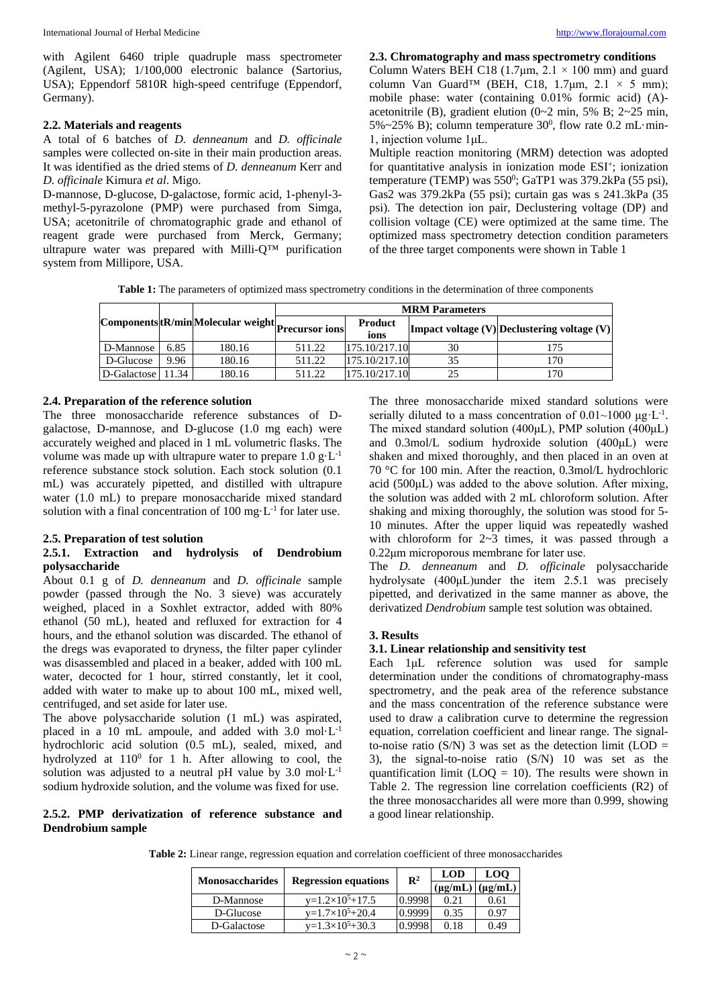with Agilent 6460 triple quadruple mass spectrometer (Agilent, USA); 1/100,000 electronic balance (Sartorius, USA); Eppendorf 5810R high-speed centrifuge (Eppendorf, Germany).

## **2.2. Materials and reagents**

A total of 6 batches of *D. denneanum* and *D. officinale* samples were collected on-site in their main production areas. It was identified as the dried stems of *D. denneanum* Kerr and *D. officinale* Kimura *et al*. Migo.

D-mannose, D-glucose, D-galactose, formic acid, 1-phenyl-3 methyl-5-pyrazolone (PMP) were purchased from Simga, USA; acetonitrile of chromatographic grade and ethanol of reagent grade were purchased from Merck, Germany; ultrapure water was prepared with Milli-Q<sup>™</sup> purification system from Millipore, USA.

**2.3. Chromatography and mass spectrometry conditions**

Column Waters BEH C18 (1.7 $\mu$ m, 2.1 × 100 mm) and guard column Van Guard<sup>™</sup> (BEH, C18, 1.7 $\mu$ m, 2.1 × 5 mm); mobile phase: water (containing 0.01% formic acid) (A) acetonitrile (B), gradient elution (0~2 min, 5% B; 2~25 min, 5%~25% B); column temperature 30<sup>0</sup>, flow rate 0.2 mL·min-1, injection volume 1μL.

Multiple reaction monitoring (MRM) detection was adopted for quantitative analysis in ionization mode ESI<sup>+</sup>; ionization temperature (TEMP) was 550<sup>0</sup>; GaTP1 was 379.2kPa (55 psi), Gas2 was 379.2kPa (55 psi); curtain gas was s 241.3kPa (35 psi). The detection ion pair, Declustering voltage (DP) and collision voltage (CE) were optimized at the same time. The optimized mass spectrometry detection condition parameters of the three target components were shown in Table 1

**Table 1:** The parameters of optimized mass spectrometry conditions in the determination of three components

|                   |      | (Components tR/min Molecular weight Precursor ions ) | <b>MRM</b> Parameters |                 |    |                                                 |  |
|-------------------|------|------------------------------------------------------|-----------------------|-----------------|----|-------------------------------------------------|--|
|                   |      |                                                      |                       | Product<br>ions |    | Impact voltage $(V)$ Declustering voltage $(V)$ |  |
| D-Mannose         | 6.85 | 180.16                                               | 511.22                | 175.10/217.10   | 30 | 175                                             |  |
| D-Glucose         | 9.96 | 180.16                                               | 511.22                | 175.10/217.10   | 35 | 170                                             |  |
| D-Galactose 11.34 |      | 180.16                                               | 511.22                | 175.10/217.10   | 25 | 170                                             |  |

#### **2.4. Preparation of the reference solution**

The three monosaccharide reference substances of Dgalactose, D-mannose, and D-glucose (1.0 mg each) were accurately weighed and placed in 1 mL volumetric flasks. The volume was made up with ultrapure water to prepare  $1.0 \text{ g} \cdot L^{-1}$ reference substance stock solution. Each stock solution (0.1 mL) was accurately pipetted, and distilled with ultrapure water (1.0 mL) to prepare monosaccharide mixed standard solution with a final concentration of  $100 \text{ mg} \cdot L^{-1}$  for later use.

#### **2.5. Preparation of test solution**

#### **2.5.1. Extraction and hydrolysis of Dendrobium polysaccharide**

About 0.1 g of *D. denneanum* and *D. officinale* sample powder (passed through the No. 3 sieve) was accurately weighed, placed in a Soxhlet extractor, added with 80% ethanol (50 mL), heated and refluxed for extraction for 4 hours, and the ethanol solution was discarded. The ethanol of the dregs was evaporated to dryness, the filter paper cylinder was disassembled and placed in a beaker, added with 100 mL water, decocted for 1 hour, stirred constantly, let it cool, added with water to make up to about 100 mL, mixed well, centrifuged, and set aside for later use.

The above polysaccharide solution (1 mL) was aspirated, placed in a 10 mL ampoule, and added with 3.0 mol·L-1 hydrochloric acid solution (0.5 mL), sealed, mixed, and hydrolyzed at  $110^0$  for 1 h. After allowing to cool, the solution was adjusted to a neutral pH value by 3.0 mol·L-1 sodium hydroxide solution, and the volume was fixed for use.

#### **2.5.2. PMP derivatization of reference substance and Dendrobium sample**

The three monosaccharide mixed standard solutions were serially diluted to a mass concentration of  $0.01~1000~\mu g \cdot L^{-1}$ . The mixed standard solution (400μL), PMP solution (400μL) and 0.3mol/L sodium hydroxide solution (400μL) were shaken and mixed thoroughly, and then placed in an oven at 70 °C for 100 min. After the reaction, 0.3mol/L hydrochloric acid (500μL) was added to the above solution. After mixing, the solution was added with 2 mL chloroform solution. After shaking and mixing thoroughly, the solution was stood for 5- 10 minutes. After the upper liquid was repeatedly washed with chloroform for 2~3 times, it was passed through a 0.22μm microporous membrane for later use.

The *D. denneanum* and *D. officinale* polysaccharide hydrolysate (400μL)under the item 2.5.1 was precisely pipetted, and derivatized in the same manner as above, the derivatized *Dendrobium* sample test solution was obtained.

#### **3. Results**

#### **3.1. Linear relationship and sensitivity test**

Each 1μL reference solution was used for sample determination under the conditions of chromatography-mass spectrometry, and the peak area of the reference substance and the mass concentration of the reference substance were used to draw a calibration curve to determine the regression equation, correlation coefficient and linear range. The signalto-noise ratio (S/N) 3 was set as the detection limit (LOD  $=$ 3), the signal-to-noise ratio (S/N) 10 was set as the quantification limit ( $LOQ = 10$ ). The results were shown in Table 2. The regression line correlation coefficients (R2) of the three monosaccharides all were more than 0.999, showing a good linear relationship.

**Table 2:** Linear range, regression equation and correlation coefficient of three monosaccharides

|                        | <b>Regression equations</b> | $\mathbb{R}^2$ | <b>LOD</b>   | <b>LOO</b>   |
|------------------------|-----------------------------|----------------|--------------|--------------|
| <b>Monosaccharides</b> |                             |                | $(\mu g/mL)$ | $(\mu g/mL)$ |
| D-Mannose              | $v=1.2\times10^5+17.5$      | 0.9998         | 0.21         | 0.61         |
| D-Glucose              | $v=1.7\times10^5+20.4$      | 0.9999         | 0.35         | 0.97         |
| D-Galactose            | $y=1.3\times10^5+30.3$      | 0.9998         | 0.18         | 0.49         |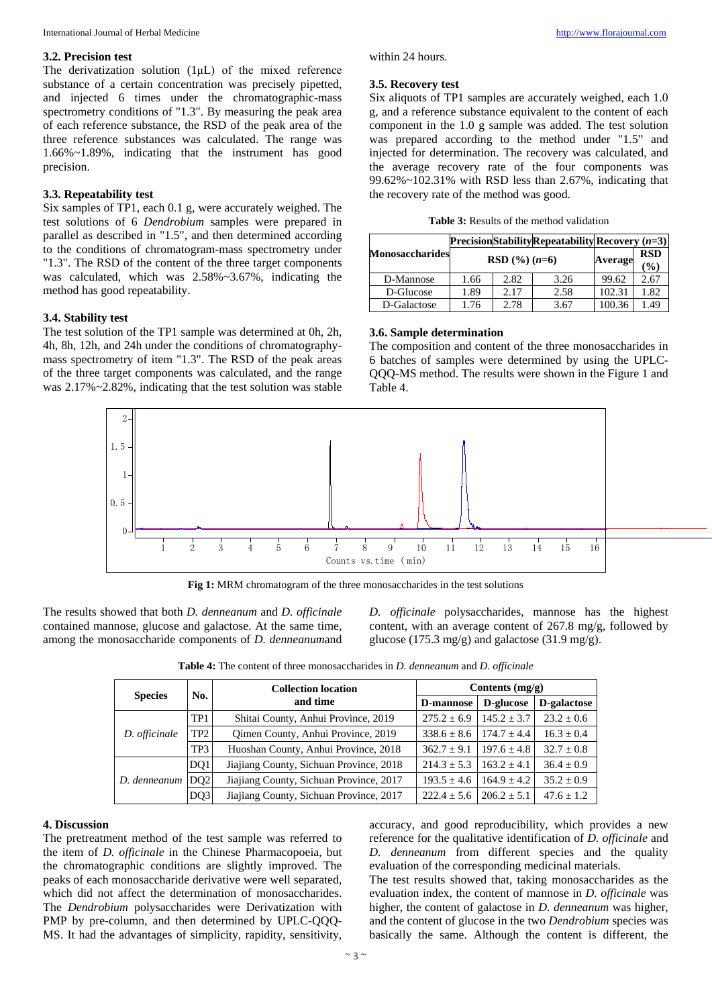#### **3.2. Precision test**

The derivatization solution (1μL) of the mixed reference substance of a certain concentration was precisely pipetted, and injected 6 times under the chromatographic-mass spectrometry conditions of "1.3". By measuring the peak area of each reference substance, the RSD of the peak area of the three reference substances was calculated. The range was 1.66%~1.89%, indicating that the instrument has good precision.

#### **3.3. Repeatability test**

Six samples of TP1, each 0.1 g, were accurately weighed. The test solutions of 6 *Dendrobium* samples were prepared in parallel as described in "1.5", and then determined according to the conditions of chromatogram-mass spectrometry under "1.3". The RSD of the content of the three target components was calculated, which was 2.58%~3.67%, indicating the method has good repeatability.

#### **3.4. Stability test**

The test solution of the TP1 sample was determined at 0h, 2h, 4h, 8h, 12h, and 24h under the conditions of chromatographymass spectrometry of item "1.3". The RSD of the peak areas of the three target components was calculated, and the range was 2.17%~2.82%, indicating that the test solution was stable within 24 hours.

#### **3.5. Recovery test**

Six aliquots of TP1 samples are accurately weighed, each 1.0 g, and a reference substance equivalent to the content of each component in the 1.0 g sample was added. The test solution was prepared according to the method under "1.5" and injected for determination. The recovery was calculated, and the average recovery rate of the four components was 99.62%~102.31% with RSD less than 2.67%, indicating that the recovery rate of the method was good.

| <b>Table 3:</b> Results of the method validation |  |  |  |
|--------------------------------------------------|--|--|--|
|--------------------------------------------------|--|--|--|

|                 |                 |      | <b>PrecisionStabilityRepeatabilityRecovery</b> $(n=3)$ |         |                              |
|-----------------|-----------------|------|--------------------------------------------------------|---------|------------------------------|
| Monosaccharides | RSD $(\%)(n=6)$ |      |                                                        | Average | <b>RSD</b><br>$\binom{0}{0}$ |
| D-Mannose       | 1.66            | 2.82 | 3.26                                                   | 99.62   | 2.67                         |
| D-Glucose       | 1.89            | 2.17 | 2.58                                                   | 102.31  | 1.82                         |
| D-Galactose     | 1.76            | 2.78 | 3.67                                                   | 100.36  | 1.49                         |

#### **3.6. Sample determination**

The composition and content of the three monosaccharides in 6 batches of samples were determined by using the UPLC-QQQ-MS method. The results were shown in the Figure 1 and Table 4.



**Fig 1:** MRM chromatogram of the three monosaccharides in the test solutions

The results showed that both *D. denneanum* and *D. officinale* contained mannose, glucose and galactose. At the same time, among the monosaccharide components of *D. denneanum*and

*D. officinale* polysaccharides, mannose has the highest content, with an average content of 267.8 mg/g, followed by glucose (175.3 mg/g) and galactose (31.9 mg/g).

| <b>Table 4:</b> The content of three monosaccharides in <i>D. denneanum</i> and <i>D. officinale</i> |
|------------------------------------------------------------------------------------------------------|
|------------------------------------------------------------------------------------------------------|

|                | No.             | <b>Collection location</b>              | Contents $(mg/g)$ |                 |                |  |
|----------------|-----------------|-----------------------------------------|-------------------|-----------------|----------------|--|
| <b>Species</b> |                 | and time                                | D-mannose         | D-glucose       | D-galactose    |  |
| D. officinale  | TP <sub>1</sub> | Shitai County, Anhui Province, 2019     | $275.2 \pm 6.9$   | $145.2 \pm 3.7$ | $23.2 \pm 0.6$ |  |
|                | TP <sub>2</sub> | Qimen County, Anhui Province, 2019      | $338.6 \pm 8.6$   | $174.7 + 4.4$   | $16.3 \pm 0.4$ |  |
|                | TP3             | Huoshan County, Anhui Province, 2018    | $362.7 + 9.1$     | $197.6 + 4.8$   | $32.7 \pm 0.8$ |  |
| D. denneanum   | DO <sub>1</sub> | Jiajiang County, Sichuan Province, 2018 | $214.3 \pm 5.3$   | $163.2 + 4.1$   | $36.4 + 0.9$   |  |
|                | DO <sub>2</sub> | Jiajiang County, Sichuan Province, 2017 | $193.5 \pm 4.6$   | $164.9 \pm 4.2$ | $35.2 \pm 0.9$ |  |
|                | DQ3             | Jiajiang County, Sichuan Province, 2017 | $222.4 + 5.6$     | $206.2 + 5.1$   | $47.6 \pm 1.2$ |  |

#### **4. Discussion**

The pretreatment method of the test sample was referred to the item of *D. officinale* in the Chinese Pharmacopoeia, but the chromatographic conditions are slightly improved. The peaks of each monosaccharide derivative were well separated, which did not affect the determination of monosaccharides. The *Dendrobium* polysaccharides were Derivatization with PMP by pre-column, and then determined by UPLC-QQQ-MS. It had the advantages of simplicity, rapidity, sensitivity,

accuracy, and good reproducibility, which provides a new reference for the qualitative identification of *D. officinale* and *D. denneanum* from different species and the quality evaluation of the corresponding medicinal materials.

The test results showed that, taking monosaccharides as the evaluation index, the content of mannose in *D. officinale* was higher, the content of galactose in *D. denneanum* was higher, and the content of glucose in the two *Dendrobium* species was basically the same. Although the content is different, the